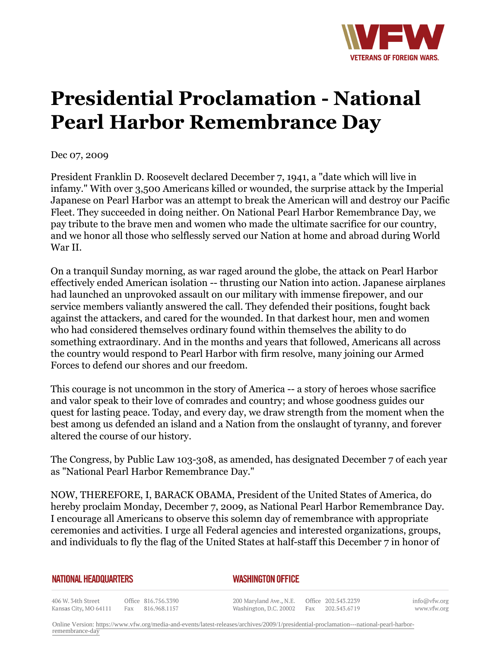

## **Presidential Proclamation - National Pearl Harbor Remembrance Day**

Dec 07, 2009

President Franklin D. Roosevelt declared December 7, 1941, a "date which will live in infamy." With over 3,500 Americans killed or wounded, the surprise attack by the Imperial Japanese on Pearl Harbor was an attempt to break the American will and destroy our Pacific Fleet. They succeeded in doing neither. On National Pearl Harbor Remembrance Day, we pay tribute to the brave men and women who made the ultimate sacrifice for our country, and we honor all those who selflessly served our Nation at home and abroad during World War II.

On a tranquil Sunday morning, as war raged around the globe, the attack on Pearl Harbor effectively ended American isolation -- thrusting our Nation into action. Japanese airplanes had launched an unprovoked assault on our military with immense firepower, and our service members valiantly answered the call. They defended their positions, fought back against the attackers, and cared for the wounded. In that darkest hour, men and women who had considered themselves ordinary found within themselves the ability to do something extraordinary. And in the months and years that followed, Americans all across the country would respond to Pearl Harbor with firm resolve, many joining our Armed Forces to defend our shores and our freedom.

This courage is not uncommon in the story of America -- a story of heroes whose sacrifice and valor speak to their love of comrades and country; and whose goodness guides our quest for lasting peace. Today, and every day, we draw strength from the moment when the best among us defended an island and a Nation from the onslaught of tyranny, and forever altered the course of our history.

The Congress, by Public Law 103-308, as amended, has designated December 7 of each year as "National Pearl Harbor Remembrance Day."

NOW, THEREFORE, I, BARACK OBAMA, President of the United States of America, do hereby proclaim Monday, December 7, 2009, as National Pearl Harbor Remembrance Day. I encourage all Americans to observe this solemn day of remembrance with appropriate ceremonies and activities. I urge all Federal agencies and interested organizations, groups, and individuals to fly the flag of the United States at half-staff this December 7 in honor of

## **NATIONAL HEADQUARTERS**

## *WASHINGTON OFFICE*

406 W. 34th Street Office 816.756.3390 Kansas City, MO 64111 Fax 816.968.1157

200 Maryland Ave., N.E. Washington, D.C. 20002

Office 202.543.2239 Fax 202.543.6719 info@vfw.org www.vfw.org

Online Version: [https://www.vfw.org/media-and-events/latest-releases/archives/2009/1/presidential-proclamation---national-pearl-harbor](https://www.vfw.org/media-and-events/latest-releases/archives/2009/1/presidential-proclamation---national-pearl-harbor-remembrance-day)[remembrance-day](https://www.vfw.org/media-and-events/latest-releases/archives/2009/1/presidential-proclamation---national-pearl-harbor-remembrance-day)